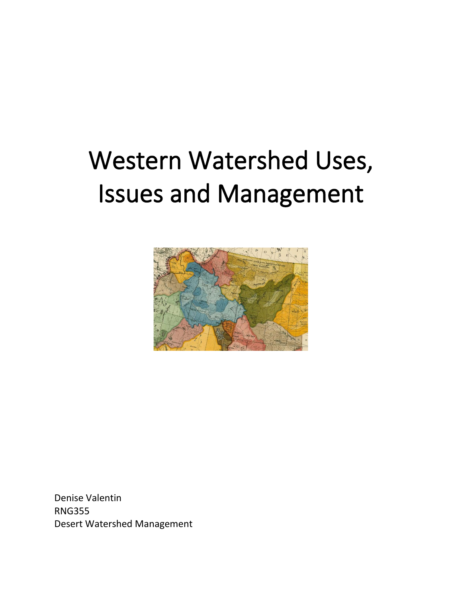# Western Watershed Uses, Issues and Management



Denise Valentin RNG355 Desert Watershed Management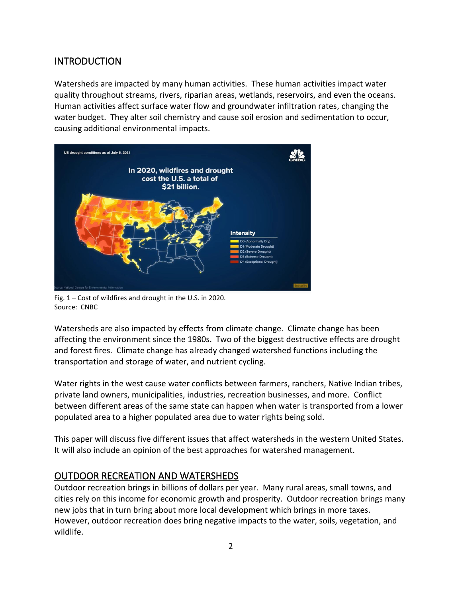### INTRODUCTION

Watersheds are impacted by many human activities. These human activities impact water quality throughout streams, rivers, riparian areas, wetlands, reservoirs, and even the oceans. Human activities affect surface water flow and groundwater infiltration rates, changing the water budget. They alter soil chemistry and cause soil erosion and sedimentation to occur, causing additional environmental impacts.



Fig. 1 – Cost of wildfires and drought in the U.S. in 2020. Source: CNBC

Watersheds are also impacted by effects from climate change. Climate change has been affecting the environment since the 1980s. Two of the biggest destructive effects are drought and forest fires. Climate change has already changed watershed functions including the transportation and storage of water, and nutrient cycling.

Water rights in the west cause water conflicts between farmers, ranchers, Native Indian tribes, private land owners, municipalities, industries, recreation businesses, and more. Conflict between different areas of the same state can happen when water is transported from a lower populated area to a higher populated area due to water rights being sold.

This paper will discuss five different issues that affect watersheds in the western United States. It will also include an opinion of the best approaches for watershed management.

## OUTDOOR RECREATION AND WATERSHEDS

Outdoor recreation brings in billions of dollars per year. Many rural areas, small towns, and cities rely on this income for economic growth and prosperity. Outdoor recreation brings many new jobs that in turn bring about more local development which brings in more taxes. However, outdoor recreation does bring negative impacts to the water, soils, vegetation, and wildlife.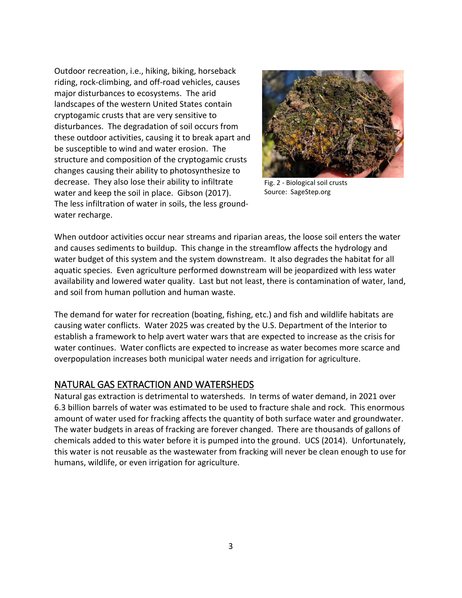Outdoor recreation, i.e., hiking, biking, horseback riding, rock-climbing, and off-road vehicles, causes major disturbances to ecosystems. The arid landscapes of the western United States contain cryptogamic crusts that are very sensitive to disturbances. The degradation of soil occurs from these outdoor activities, causing it to break apart and be susceptible to wind and water erosion. The structure and composition of the cryptogamic crusts changes causing their ability to photosynthesize to decrease. They also lose their ability to infiltrate water and keep the soil in place. Gibson (2017). The less infiltration of water in soils, the less groundwater recharge.



Fig. 2 - Biological soil crusts Source: SageStep.org

When outdoor activities occur near streams and riparian areas, the loose soil enters the water and causes sediments to buildup. This change in the streamflow affects the hydrology and water budget of this system and the system downstream. It also degrades the habitat for all aquatic species. Even agriculture performed downstream will be jeopardized with less water availability and lowered water quality. Last but not least, there is contamination of water, land, and soil from human pollution and human waste.

The demand for water for recreation (boating, fishing, etc.) and fish and wildlife habitats are causing water conflicts. Water 2025 was created by the U.S. Department of the Interior to establish a framework to help avert water wars that are expected to increase as the crisis for water continues. Water conflicts are expected to increase as water becomes more scarce and overpopulation increases both municipal water needs and irrigation for agriculture.

### NATURAL GAS EXTRACTION AND WATERSHEDS

Natural gas extraction is detrimental to watersheds. In terms of water demand, in 2021 over 6.3 billion barrels of water was estimated to be used to fracture shale and rock. This enormous amount of water used for fracking affects the quantity of both surface water and groundwater. The water budgets in areas of fracking are forever changed. There are thousands of gallons of chemicals added to this water before it is pumped into the ground. UCS (2014). Unfortunately, this water is not reusable as the wastewater from fracking will never be clean enough to use for humans, wildlife, or even irrigation for agriculture.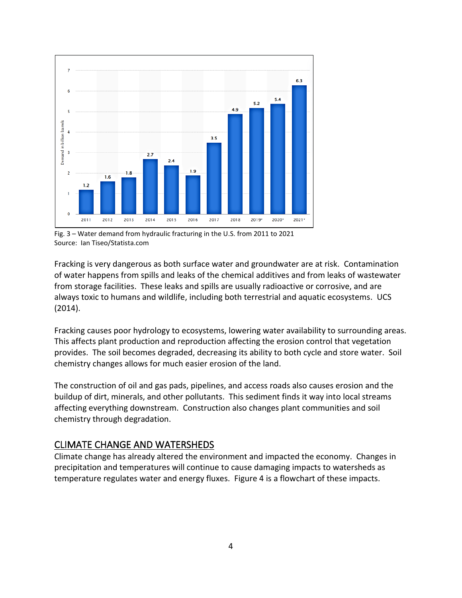

Fig. 3 – Water demand from hydraulic fracturing in the U.S. from 2011 to 2021 Source: Ian Tiseo/Statista.com

Fracking is very dangerous as both surface water and groundwater are at risk. Contamination of water happens from spills and leaks of the chemical additives and from leaks of wastewater from storage facilities. These leaks and spills are usually radioactive or corrosive, and are always toxic to humans and wildlife, including both terrestrial and aquatic ecosystems. UCS (2014).

Fracking causes poor hydrology to ecosystems, lowering water availability to surrounding areas. This affects plant production and reproduction affecting the erosion control that vegetation provides. The soil becomes degraded, decreasing its ability to both cycle and store water. Soil chemistry changes allows for much easier erosion of the land.

The construction of oil and gas pads, pipelines, and access roads also causes erosion and the buildup of dirt, minerals, and other pollutants. This sediment finds it way into local streams affecting everything downstream. Construction also changes plant communities and soil chemistry through degradation.

### CLIMATE CHANGE AND WATERSHEDS

Climate change has already altered the environment and impacted the economy. Changes in precipitation and temperatures will continue to cause damaging impacts to watersheds as temperature regulates water and energy fluxes. Figure 4 is a flowchart of these impacts.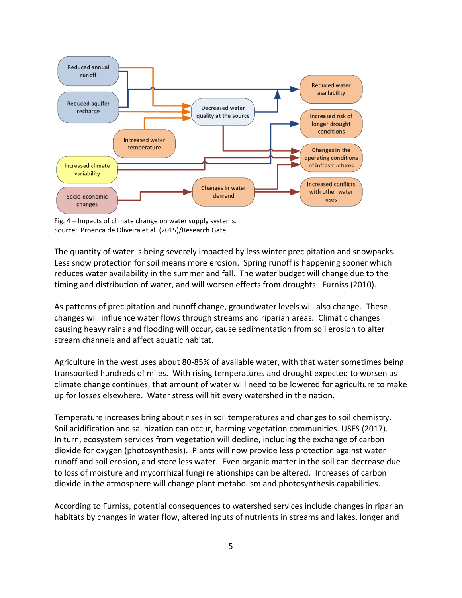

Fig. 4 – Impacts of climate change on water supply systems. Source: Proenca de Oliveira et al. (2015)/Research Gate

The quantity of water is being severely impacted by less winter precipitation and snowpacks. Less snow protection for soil means more erosion. Spring runoff is happening sooner which reduces water availability in the summer and fall. The water budget will change due to the timing and distribution of water, and will worsen effects from droughts. Furniss (2010).

As patterns of precipitation and runoff change, groundwater levels will also change. These changes will influence water flows through streams and riparian areas. Climatic changes causing heavy rains and flooding will occur, cause sedimentation from soil erosion to alter stream channels and affect aquatic habitat.

Agriculture in the west uses about 80-85% of available water, with that water sometimes being transported hundreds of miles. With rising temperatures and drought expected to worsen as climate change continues, that amount of water will need to be lowered for agriculture to make up for losses elsewhere. Water stress will hit every watershed in the nation.

Temperature increases bring about rises in soil temperatures and changes to soil chemistry. Soil acidification and salinization can occur, harming vegetation communities. USFS (2017). In turn, ecosystem services from vegetation will decline, including the exchange of carbon dioxide for oxygen (photosynthesis). Plants will now provide less protection against water runoff and soil erosion, and store less water. Even organic matter in the soil can decrease due to loss of moisture and mycorrhizal fungi relationships can be altered. Increases of carbon dioxide in the atmosphere will change plant metabolism and photosynthesis capabilities.

According to Furniss, potential consequences to watershed services include changes in riparian habitats by changes in water flow, altered inputs of nutrients in streams and lakes, longer and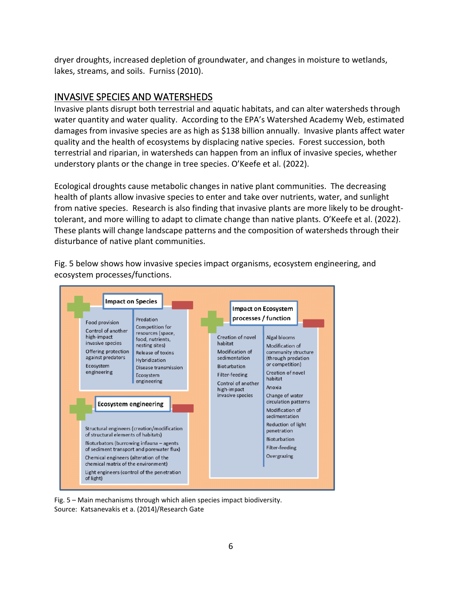dryer droughts, increased depletion of groundwater, and changes in moisture to wetlands, lakes, streams, and soils. Furniss (2010).

#### INVASIVE SPECIES AND WATERSHEDS

Invasive plants disrupt both terrestrial and aquatic habitats, and can alter watersheds through water quantity and water quality. According to the EPA's Watershed Academy Web, estimated damages from invasive species are as high as \$138 billion annually. Invasive plants affect water quality and the health of ecosystems by displacing native species. Forest succession, both terrestrial and riparian, in watersheds can happen from an influx of invasive species, whether understory plants or the change in tree species. O'Keefe et al. (2022).

Ecological droughts cause metabolic changes in native plant communities. The decreasing health of plants allow invasive species to enter and take over nutrients, water, and sunlight from native species. Research is also finding that invasive plants are more likely to be droughttolerant, and more willing to adapt to climate change than native plants. O'Keefe et al. (2022). These plants will change landscape patterns and the composition of watersheds through their disturbance of native plant communities.



Fig. 5 below shows how invasive species impact organisms, ecosystem engineering, and ecosystem processes/functions.

Fig. 5 – Main mechanisms through which alien species impact biodiversity. Source: Katsanevakis et a. (2014)/Research Gate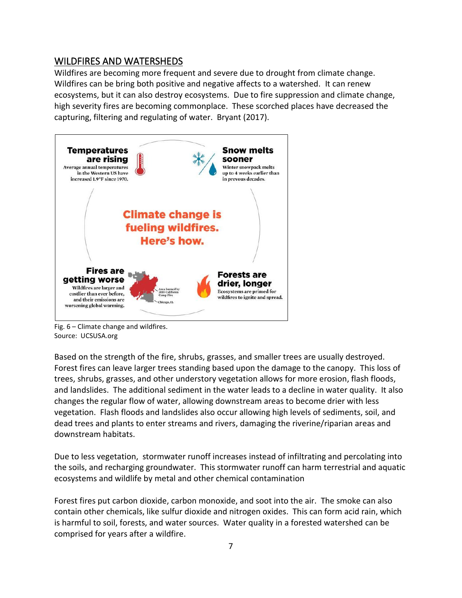### WILDFIRES AND WATERSHEDS

Wildfires are becoming more frequent and severe due to drought from climate change. Wildfires can be bring both positive and negative affects to a watershed. It can renew ecosystems, but it can also destroy ecosystems. Due to fire suppression and climate change, high severity fires are becoming commonplace. These scorched places have decreased the capturing, filtering and regulating of water. Bryant (2017).



Fig. 6 – Climate change and wildfires. Source: UCSUSA.org

Based on the strength of the fire, shrubs, grasses, and smaller trees are usually destroyed. Forest fires can leave larger trees standing based upon the damage to the canopy. This loss of trees, shrubs, grasses, and other understory vegetation allows for more erosion, flash floods, and landslides. The additional sediment in the water leads to a decline in water quality. It also changes the regular flow of water, allowing downstream areas to become drier with less vegetation. Flash floods and landslides also occur allowing high levels of sediments, soil, and dead trees and plants to enter streams and rivers, damaging the riverine/riparian areas and downstream habitats.

Due to less vegetation, stormwater runoff increases instead of infiltrating and percolating into the soils, and recharging groundwater. This stormwater runoff can harm terrestrial and aquatic ecosystems and wildlife by metal and other chemical contamination

Forest fires put carbon dioxide, carbon monoxide, and soot into the air. The smoke can also contain other chemicals, like sulfur dioxide and nitrogen oxides. This can form acid rain, which is harmful to soil, forests, and water sources. Water quality in a forested watershed can be comprised for years after a wildfire.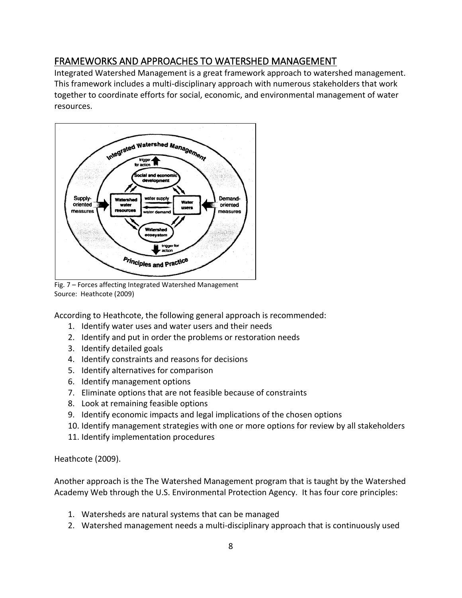# FRAMEWORKS AND APPROACHES TO WATERSHED MANAGEMENT

Integrated Watershed Management is a great framework approach to watershed management. This framework includes a multi-disciplinary approach with numerous stakeholders that work together to coordinate efforts for social, economic, and environmental management of water resources.



Fig. 7 – Forces affecting Integrated Watershed Management Source: Heathcote (2009)

According to Heathcote, the following general approach is recommended:

- 1. Identify water uses and water users and their needs
- 2. Identify and put in order the problems or restoration needs
- 3. Identify detailed goals
- 4. Identify constraints and reasons for decisions
- 5. Identify alternatives for comparison
- 6. Identify management options
- 7. Eliminate options that are not feasible because of constraints
- 8. Look at remaining feasible options
- 9. Identify economic impacts and legal implications of the chosen options
- 10. Identify management strategies with one or more options for review by all stakeholders
- 11. Identify implementation procedures

#### Heathcote (2009).

Another approach is the The Watershed Management program that is taught by the Watershed Academy Web through the U.S. Environmental Protection Agency. It has four core principles:

- 1. Watersheds are natural systems that can be managed
- 2. Watershed management needs a multi-disciplinary approach that is continuously used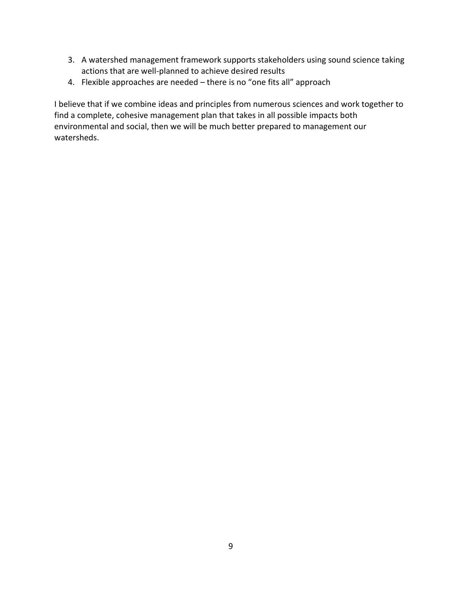- 3. A watershed management framework supports stakeholders using sound science taking actions that are well-planned to achieve desired results
- 4. Flexible approaches are needed there is no "one fits all" approach

I believe that if we combine ideas and principles from numerous sciences and work together to find a complete, cohesive management plan that takes in all possible impacts both environmental and social, then we will be much better prepared to management our watersheds.